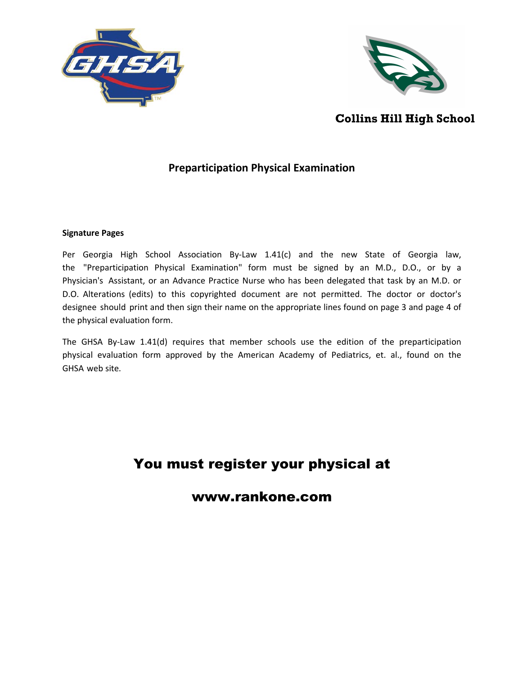



## **Collins Hill High School**

## **Preparticipation Physical Examination**

### **Signature Pages**

Per Georgia High School Association By-Law 1.41(c) and the new State of Georgia law, the "Preparticipation Physical Examination" form must be signed by an M.D., D.O., or by a Physician's Assistant, or an Advance Practice Nurse who has been delegated that task by an M.D. or D.O. Alterations (edits) to this copyrighted document are not permitted. The doctor or doctor's designee should print and then sign their name on the appropriate lines found on page 3 and page 4 of the physical evaluation form.

The GHSA By-Law 1.41(d) requires that member schools use the edition of the preparticipation physical evaluation form approved by the American Academy of Pediatrics, et. al., found on the GHSA web site.

# You must register your physical at

www.rankone.com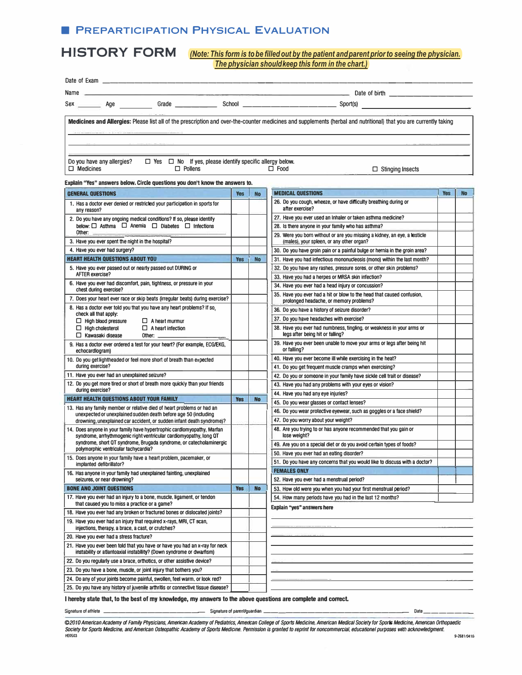## **E PREPARTICIPATION PHYSICAL EVALUATION**

**HISTORY FORM** *(Note: Thisform is to be filled out bythe patient and parent priorto seeing the physician. The physician shouldkeep thisform in the chart.)*

| Date of Exam.                                                                                                                                    |            |           |                                                                                                                                                                    |            |           |
|--------------------------------------------------------------------------------------------------------------------------------------------------|------------|-----------|--------------------------------------------------------------------------------------------------------------------------------------------------------------------|------------|-----------|
| Name                                                                                                                                             |            |           |                                                                                                                                                                    |            |           |
|                                                                                                                                                  |            |           |                                                                                                                                                                    |            |           |
|                                                                                                                                                  |            |           |                                                                                                                                                                    |            |           |
|                                                                                                                                                  |            |           | Medicines and Allergies: Please list all of the prescription and over-the-counter medicines and supplements (herbal and nutritional) that you are currently taking |            |           |
|                                                                                                                                                  |            |           |                                                                                                                                                                    |            |           |
|                                                                                                                                                  |            |           |                                                                                                                                                                    |            |           |
|                                                                                                                                                  |            |           |                                                                                                                                                                    |            |           |
| Do you have any allergies?<br>$\Box$ Yes $\Box$ No If yes, please identify specific allergy below.                                               |            |           |                                                                                                                                                                    |            |           |
| $\Box$ Pollens<br>$\Box$ Medicines                                                                                                               |            |           | $\Box$ Food<br>$\Box$ Stinging Insects                                                                                                                             |            |           |
|                                                                                                                                                  |            |           |                                                                                                                                                                    |            |           |
| Explain "Yes" answers below. Circle questions you don't know the answers to.                                                                     |            |           | <b>MEDICAL QUESTIONS</b>                                                                                                                                           |            |           |
| <b>GENERAL QUESTIONS</b>                                                                                                                         | <b>Yes</b> | <b>No</b> | 26. Do you cough, wheeze, or have difficulty breathing during or                                                                                                   | <b>Yes</b> | <b>No</b> |
| 1. Has a doctor ever denied or restricted your participation in sports for<br>any reason?                                                        |            |           | after exercise?                                                                                                                                                    |            |           |
| 2. Do you have any ongoing medical conditions? If so, please identify                                                                            |            |           | 27. Have you ever used an Inhaler or taken asthma medicine?                                                                                                        |            |           |
| below: □ Asthma □ Anemia □ Diabetes □ Infections                                                                                                 |            |           | 28. Is there anyone in your family who has asthma?                                                                                                                 |            |           |
| Other: $\qquad \qquad \qquad$                                                                                                                    |            |           | 29. Were you born without or are you missing a kidney, an eye, a testicle                                                                                          |            |           |
| 3. Have you ever spent the night in the hospital?                                                                                                |            |           | (males), your spleen, or any other organ?                                                                                                                          |            |           |
| 4. Have you ever had surgery?                                                                                                                    |            |           | 30. Do you have groin pain or a painful bulge or hernia in the groin area?                                                                                         |            |           |
| <b>HEART HEALTH QUESTIONS ABOUT YOU</b>                                                                                                          | <b>Yes</b> | <b>No</b> | 31. Have you had infectious mononucleosis (mono) within the last month?                                                                                            |            |           |
| 5. Have you ever passed out or nearly passed out DURING or<br><b>AFTER exercise?</b>                                                             |            |           | 32. Do you have any rashes, pressure sores, or other skin problems?                                                                                                |            |           |
| 6. Have you ever had discomfort, pain, tightness, or pressure in your                                                                            |            |           | 33. Have you had a herpes or MRSA skin infection?                                                                                                                  |            |           |
| chest during exercise?                                                                                                                           |            |           | 34. Have you ever had a head injury or concussion?<br>35. Have you ever had a hit or blow to the head that caused confusion.                                       |            |           |
| 7. Does your heart ever race or skip beats (irregular beats) during exercise?                                                                    |            |           | prolonged headache, or memory problems?                                                                                                                            |            |           |
| 8. Has a doctor ever told you that you have any heart problems? If so,                                                                           |            |           | 36. Do you have a history of seizure disorder?                                                                                                                     |            |           |
| check all that apply:<br>$\Box$ High blood pressure<br>$\Box$ A heart murmur                                                                     |            |           | 37. Do you have headaches with exercise?                                                                                                                           |            |           |
| $\Box$ High cholesterol<br>$\Box$ A heart infection                                                                                              |            |           | 38. Have you ever had numbness, tingling, or weakness in your arms or                                                                                              |            |           |
| $\Box$ Kawasaki disease<br>Other: $\_\_$                                                                                                         |            |           | legs after being hit or falling?                                                                                                                                   |            |           |
| 9. Has a doctor ever ordered a test for your heart? (For example, ECG/EKG,<br>echocardlogram)                                                    |            |           | 39. Have you ever been unable to move your arms or legs after being hit<br>or falling?                                                                             |            |           |
| 10. Do you get lightheaded or feel more short of breath than expected                                                                            |            |           | 40. Have you ever become ill while exercising in the heat?                                                                                                         |            |           |
| during exercise?                                                                                                                                 |            |           | 41. Do you get frequent muscle cramps when exercising?                                                                                                             |            |           |
| 11. Have you ever had an unexplained seizure?<br>12. Do you get more tired or short of breath more quickly than your friends                     |            |           | 42. Do you or someone in your family have sickle cell trait or disease?                                                                                            |            |           |
| during exercise?                                                                                                                                 |            |           | 43. Have you had any problems with your eyes or vision?                                                                                                            |            |           |
| <b>HEART HEALTH QUESTIONS ABOUT YOUR FAMILY</b>                                                                                                  | <b>Yes</b> | <b>No</b> | 44. Have you had any eye injuries?                                                                                                                                 |            |           |
| 13. Has any family member or relative died of heart problems or had an                                                                           |            |           | 45. Do you wear glasses or contact lenses?<br>46. Do you wear protective eyewear, such as goggles or a face shield?                                                |            |           |
| unexpected or unexplained sudden death before age 50 (including                                                                                  |            |           | 47. Do you worry about your weight?                                                                                                                                |            |           |
| drowning, unexplained car accident, or sudden infant death syndrome)?<br>14. Does anyone in your family have hypertrophic cardlomyopathy, Marfan |            |           | 48. Are you trying to or has anyone recommended that you gain or                                                                                                   |            |           |
| syndrome, arrhythmogenic right ventricular cardiomyopathy, long QT                                                                               |            |           | lose weight?                                                                                                                                                       |            |           |
| syndrome, short QT syndrome, Brugada syndrome, or catecholaminergic                                                                              |            |           | 49. Are you on a special diet or do you avoid certain types of foods?                                                                                              |            |           |
| polymorphic ventricular tachycardia?<br>15. Does anyone in your family have a heart problem, pacemaker, or                                       |            |           | 50. Have you ever had an eating disorder?                                                                                                                          |            |           |
| implanted defibrillator?                                                                                                                         |            |           | 51. Do you have any concerns that you would like to discuss with a doctor?                                                                                         |            |           |
| 16. Has anyone in your family had unexplained fainting, unexplained                                                                              |            |           | <b>FEMALES ONLY</b>                                                                                                                                                |            |           |
| seizures, or near drowning?                                                                                                                      |            |           | 52. Have you ever had a menstrual period?                                                                                                                          |            |           |
| <b>BONE ANO JOINT QUESTIONS</b>                                                                                                                  | <b>Yes</b> | <b>No</b> | 53. How old were you when you had your first menstrual period?                                                                                                     |            |           |
| 17. Have you ever had an injury to a bone, muscle, ligament, or tendon<br>that caused you to miss a practice or a game?                          |            |           | 54. How many periods have you had in the last 12 months?                                                                                                           |            |           |
| 18. Have you ever had any broken or fractured bones or dislocated joints?                                                                        |            |           | Explain "yes" answers here                                                                                                                                         |            |           |
| 19. Have you ever had an injury that required x-rays, MRI, CT scan,                                                                              |            |           |                                                                                                                                                                    |            |           |
| injections, therapy, a brace, a cast, or crutches?                                                                                               |            |           |                                                                                                                                                                    |            |           |
| 20. Have you ever had a stress fracture?                                                                                                         |            |           |                                                                                                                                                                    |            |           |
| 21. Have you ever been told that you have or have you had an x-ray for neck                                                                      |            |           |                                                                                                                                                                    |            |           |
| instability or atlantoaxial instability? (Down syndrome or dwarfism)                                                                             |            |           |                                                                                                                                                                    |            |           |
| 22. Do you regularly use a brace, orthotics, or other assistive device?                                                                          |            |           |                                                                                                                                                                    |            |           |
| 23. Do you have a bone, muscle, or joint injury that bothers you?                                                                                |            |           |                                                                                                                                                                    |            |           |
| 24. Do any of your joints become painful, swollen, feel warm, or look red?                                                                       |            |           |                                                                                                                                                                    |            |           |
| 25. Do you have any history of juvenile arthritis or connective tissue disease?                                                                  |            |           |                                                                                                                                                                    |            |           |

#### **I hereby state that, to the best of my knowledge, my answers to the above questions are complete and correct.**

**Signatureofathlete \_\_\_\_\_\_\_\_\_\_\_\_\_ \_ Signature of parent/guardian \_\_\_\_\_\_\_\_\_\_\_\_\_\_\_\_\_\_\_ \_ Date \_\_\_\_\_\_ \_** 

*©201 O American Academy of Family Physicians, American Academy of Pediatrics, American College of Sports Medicine, American Medical Society for Sports Medicine, American Orthopaedic*  Society for Sports Medicine, and American Osteopathic Academy of Sports Medicine. Pennission is granted to reprint for noncommercial, educationel purposes with acknowledgment. **HE0503 9-2681/0410**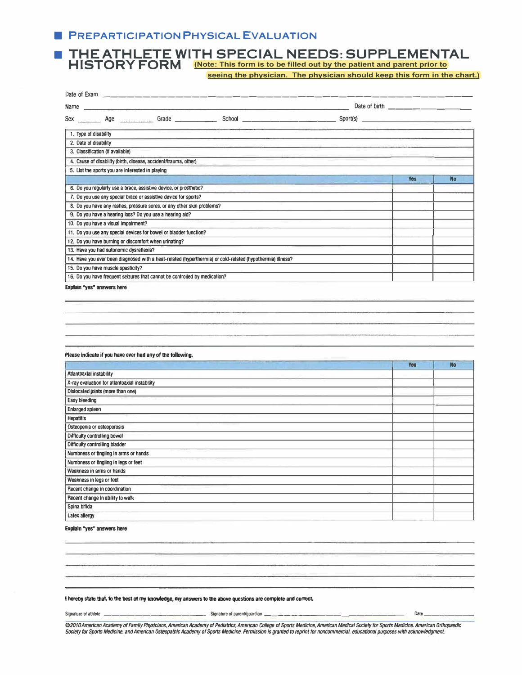## **■ PREPARTICIPATION PHYSICAL EVALUATION**

### ■ THE ATHLETE WITH SPECIAL NEEDS: SUPPLEMENTAL<br>HISTORY FORM (Note: This form is to be filled out by the patient and parent prior to **HISTORY FORM (Note: This form is to be filled out by the patient and parent prior to**

 **seeing the physician. The physician should keep this form in the chart.)**

| Date of Examers and the Date of Examers                                                                    |          |           |
|------------------------------------------------------------------------------------------------------------|----------|-----------|
| Name                                                                                                       |          |           |
|                                                                                                            | Sport(s) |           |
| 1. Type of disability                                                                                      |          |           |
| 2. Date of disability                                                                                      |          |           |
| 3. Classification (if available)                                                                           |          |           |
| 4. Cause of disability (birth, disease, accident/trauma, other)                                            |          |           |
| 5. List the sports you are interested in playing                                                           |          |           |
|                                                                                                            | Yes      | <b>No</b> |
| 6. Do you regularly use a brace, assistive device, or prosthetic?                                          |          |           |
| 7. Do you use any special brace or assistive device for sports?                                            |          |           |
| 8. Do you have any rashes, pressure sores, or any other skin problems?                                     |          |           |
| 9. Do you have a hearing loss? Do you use a hearing aid?                                                   |          |           |
| 10. Do you have a visual impairment?                                                                       |          |           |
| 11. Do you use any special devices for bowel or bladder function?                                          |          |           |
| 12. Do you have burning or discomfort when urinating?                                                      |          |           |
| 13. Have you had autonomic dysreflexia?                                                                    |          |           |
| 14. Have you ever been diagnosed with a heat-related (hyperthermia) or cold-related (hypothermia) illness? |          |           |
| 15. Do you have muscle spasticity?                                                                         |          |           |
| 16. Do you have frequent seizures that cannot be controlled by medication?                                 |          |           |

Explain **"yes" answers** here

#### Please indicate if you have ever had any of the following.

|                                               | <b>Yes</b> | <b>No</b> |
|-----------------------------------------------|------------|-----------|
| Atlantoaxial instability                      |            |           |
| X-ray evaluation for atlantoaxial instability |            |           |
| Dislocated joints (more than one)             |            |           |
| <b>Easy bleeding</b>                          |            |           |
| Enlarged spleen                               |            |           |
| <b>Hepatitis</b>                              |            |           |
| Osteopenia or osteoporosis                    |            |           |
| Difficulty controlling bowel                  |            |           |
| Difficulty controlling bladder                |            |           |
| Numbness or tingling in arms or hands         |            |           |
| Numbness or tingling in legs or feet          |            |           |
| Weakness in arms or hands                     |            |           |
| Weakness in legs or feet                      |            |           |
| Recent change in coordination                 |            |           |
| Recent change in ability to walk              |            |           |
| Spina bifida                                  |            |           |
| <b>Latex allergy</b>                          |            |           |

#### **Explain ''yes" answers here**

#### I hereby state that, to the best of my knowledge, my answers to the above questions are complete and correct.

**Signature of athlete \_\_\_\_\_\_\_\_\_\_\_\_ \_ Signatureof parenVguardian \_\_\_\_\_\_\_\_\_\_\_\_\_\_\_\_\_ \_** Date \_\_\_\_\_\_ \_

©2010 American Academy of Famlly Physicians, American Academy of Pediatrics, American College of Sports Medicine, American Medical Society for Sports Medicine. American Orthopaedic Society for Sports Medicine, and American Osteopathic Academy of Sports Medicine. Permission is granted to reprint for noncommercial, educational purposes with acknowledgment.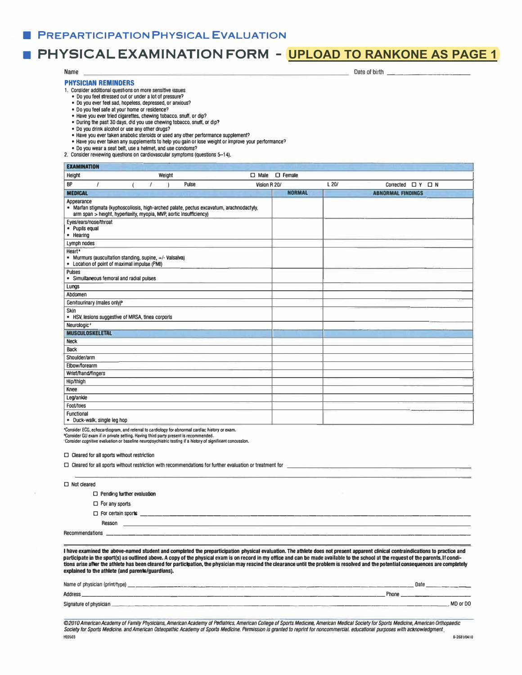## ■ **PHYSICAL EXAMINATION FORM - UPLOAD TO RANKONE AS PAGE 1**

Date of birth

#### Name

#### **PHYSICIAN REMINDERS**

1. Consider additional questions on more sensitive issues

- Do you feel stressed out or under a lot of pressure?
- Do you ever feel sad, hopeless, depressed, or anxious?
- Do you feel safe at your home or residence?
- Have you ever tried cigarettes. chewing tobacco. snuff, or dip?
- During the past 30 days, did you use chewing tobacco, snuff. or dip?
- Do you drink alcohol or use any other drugs?
- Have you ever taken anabolic steroids or used any other performance supplement?
- Have you ever taken any supplements to help you gain or lose weight or improve your performance?
- Do you wear a seat belt, use a helmet, and use condoms?
- 2. Consider reviewing questions on cardiovascular symptoms (questions **5--14),**

**EXAMINATION** Height D Male D Female BP *I* **(** *I* **)** Pulse Vision R 20/ **MEDICAL Annearance** • Marfan stigmata (kyphoscoliosis, high-arched palate, pectus excavatum, arachnodactyly, arm span > height, hypenaxily, myopia, MVP, aortic Insufficiency) Eyes/ears/nose/throat • Pupils equal • Hearing Lymph nodes Heart• • Murmurs (auscultation standing, supine, +/- Valsalva) • Location of point of maximal impulse (PMI) Pulses • Simultaneous femoral and radial pulses Lungs Abdomen Genitourinary (males only)' Skin • HSV. lesions suggestive of MRSA, tinea corporls Neurologic' **MUSCULOSKELETAL**  Neck **Back** Shoulder/arm Elbow/forearm Wrist/hand/fingers Hip/thigh **Knee**  Leg/ankle Foot/toes **Functional** • Duck-walk. single leg hop **NORMAL**  L20/ Corrected  $\Box$  Y  $\Box$  N **ABNORMAL RNDINGS** 

**•Consider ECG, echocardiogram, and referral to cardiology tor abnormal cardiac history or exam.** 

**"Consider GU exam if in private setting. Having third party present is recommended. 'Consider cognitive evaluation or baseline neuropsychiatric testing if a history of significant concussion.** 

□ Cleared for all sports without restriction

|                    | $\Box$ Cleared for all sports without restriction with recommendations for further evaluation or treatment for       |
|--------------------|----------------------------------------------------------------------------------------------------------------------|
| $\Box$ Not cleared | Application of the State Process and the contract of the contract of the contract of the contract of the contract of |
|                    | $\Box$ Pending further evaluation                                                                                    |
|                    | $\Box$ For any sports                                                                                                |
|                    | $\Box$ For certain sports                                                                                            |
|                    | Reason<br>the company of the company of the company of                                                               |
| Recommendations    |                                                                                                                      |
|                    |                                                                                                                      |

I have examined the above-named student and completed the preparticipation physical evaluation. The athlete does not present apparent clinical contraindications to practice and participate in the sport(s) as outlined above. A copy of the physical exam is on record in my office and can be made available to the school at the request of the parents. If conditions **arise after the athlete has been cleared** for **participation, the physician** may **rescind the dearance** until the **problem is resolved and the potential consequences are completely explained** to **the athlete (and parents/guardians).** 

| Name of physician (print/type) | Date     |
|--------------------------------|----------|
| Address                        | Phone    |
| Signature of physician         | MD or DO |

*©201 O American Academy of Family Physicians, American Academy of Pediatrics. American College of Sports Medicine, American Medical Society for Sports Medicine, American Orthopaedic*  Society for Sports Medicine, and American Osteopathic Academy of Sports Medicine. Permission is granted to reprint for noncommercial, educational purposes with acknowledgment.<br>**HEG**503 **HE0503 9-2681/0410**